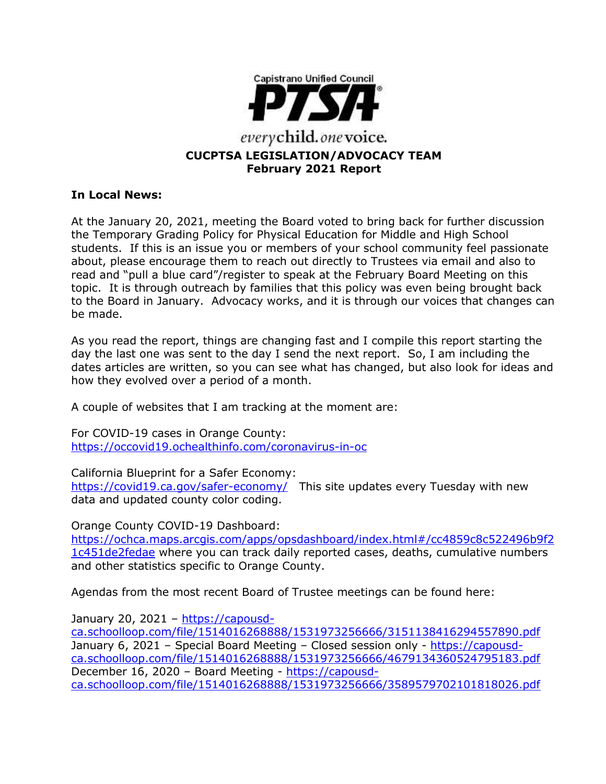

#### **In Local News:**

At the January 20, 2021, meeting the Board voted to bring back for further discussion the Temporary Grading Policy for Physical Education for Middle and High School students. If this is an issue you or members of your school community feel passionate about, please encourage them to reach out directly to Trustees via email and also to read and "pull a blue card"/register to speak at the February Board Meeting on this topic. It is through outreach by families that this policy was even being brought back to the Board in January. Advocacy works, and it is through our voices that changes can be made.

As you read the report, things are changing fast and I compile this report starting the day the last one was sent to the day I send the next report. So, I am including the dates articles are written, so you can see what has changed, but also look for ideas and how they evolved over a period of a month.

A couple of websites that I am tracking at the moment are:

For COVID-19 cases in Orange County: <https://occovid19.ochealthinfo.com/coronavirus-in-oc>

California Blueprint for a Safer Economy: <https://covid19.ca.gov/safer-economy/>This site updates every Tuesday with new data and updated county color coding.

Orange County COVID-19 Dashboard:

[https://ochca.maps.arcgis.com/apps/opsdashboard/index.html#/cc4859c8c522496b9f2](https://ochca.maps.arcgis.com/apps/opsdashboard/index.html#/cc4859c8c522496b9f21c451de2fedae) [1c451de2fedae](https://ochca.maps.arcgis.com/apps/opsdashboard/index.html#/cc4859c8c522496b9f21c451de2fedae) where you can track daily reported cases, deaths, cumulative numbers and other statistics specific to Orange County.

Agendas from the most recent Board of Trustee meetings can be found here:

January 20, 2021 – [https://capousd](https://capousd-ca.schoolloop.com/file/1514016268888/1531973256666/3151138416294557890.pdf)[ca.schoolloop.com/file/1514016268888/1531973256666/3151138416294557890.pdf](https://capousd-ca.schoolloop.com/file/1514016268888/1531973256666/3151138416294557890.pdf) January 6, 2021 – Special Board Meeting – Closed session only - [https://capousd](https://capousd-ca.schoolloop.com/file/1514016268888/1531973256666/4679134360524795183.pdf)[ca.schoolloop.com/file/1514016268888/1531973256666/4679134360524795183.pdf](https://capousd-ca.schoolloop.com/file/1514016268888/1531973256666/4679134360524795183.pdf) December 16, 2020 – Board Meeting - [https://capousd](https://capousd-ca.schoolloop.com/file/1514016268888/1531973256666/3589579702101818026.pdf)[ca.schoolloop.com/file/1514016268888/1531973256666/3589579702101818026.pdf](https://capousd-ca.schoolloop.com/file/1514016268888/1531973256666/3589579702101818026.pdf)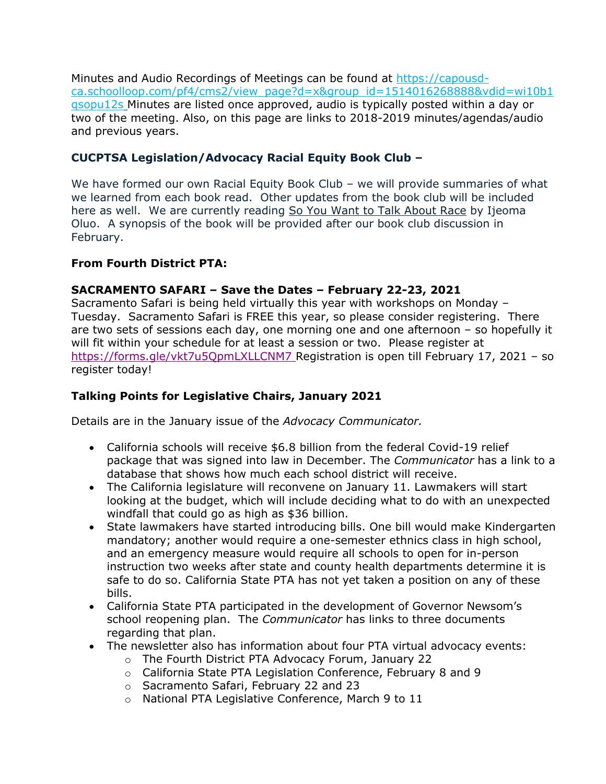Minutes and Audio Recordings of Meetings can be found at [https://capousd](https://capousd-ca.schoolloop.com/pf4/cms2/view_page?d=x&group_id=1514016268888&vdid=wi10b1qsopu12s)[ca.schoolloop.com/pf4/cms2/view\\_page?d=x&group\\_id=1514016268888&vdid=wi10b1](https://capousd-ca.schoolloop.com/pf4/cms2/view_page?d=x&group_id=1514016268888&vdid=wi10b1qsopu12s) [qsopu12s](https://capousd-ca.schoolloop.com/pf4/cms2/view_page?d=x&group_id=1514016268888&vdid=wi10b1qsopu12s) Minutes are listed once approved, audio is typically posted within a day or two of the meeting. Also, on this page are links to 2018-2019 minutes/agendas/audio and previous years.

## **CUCPTSA Legislation/Advocacy Racial Equity Book Club –**

We have formed our own Racial Equity Book Club – we will provide summaries of what we learned from each book read. Other updates from the book club will be included here as well. We are currently reading So You Want to Talk About Race by Ijeoma Oluo. A synopsis of the book will be provided after our book club discussion in February.

## **From Fourth District PTA:**

## **SACRAMENTO SAFARI – Save the Dates – February 22-23, 2021**

Sacramento Safari is being held virtually this year with workshops on Monday – Tuesday. Sacramento Safari is FREE this year, so please consider registering. There are two sets of sessions each day, one morning one and one afternoon – so hopefully it will fit within your schedule for at least a session or two. Please register at <https://forms.gle/vkt7u5QpmLXLLCNM7> Registration is open till February 17, 2021 – so register today!

# **Talking Points for Legislative Chairs, January 2021**

Details are in the January issue of the *Advocacy Communicator.*

- California schools will receive \$6.8 billion from the federal Covid-19 relief package that was signed into law in December. The *Communicator* has a link to a database that shows how much each school district will receive.
- The California legislature will reconvene on January 11. Lawmakers will start looking at the budget, which will include deciding what to do with an unexpected windfall that could go as high as \$36 billion.
- State lawmakers have started introducing bills. One bill would make Kindergarten mandatory; another would require a one-semester ethnics class in high school, and an emergency measure would require all schools to open for in-person instruction two weeks after state and county health departments determine it is safe to do so. California State PTA has not yet taken a position on any of these bills.
- California State PTA participated in the development of Governor Newsom's school reopening plan. The *Communicator* has links to three documents regarding that plan.
- The newsletter also has information about four PTA virtual advocacy events:
	- o The Fourth District PTA Advocacy Forum, January 22
	- o California State PTA Legislation Conference, February 8 and 9
	- o Sacramento Safari, February 22 and 23
	- o National PTA Legislative Conference, March 9 to 11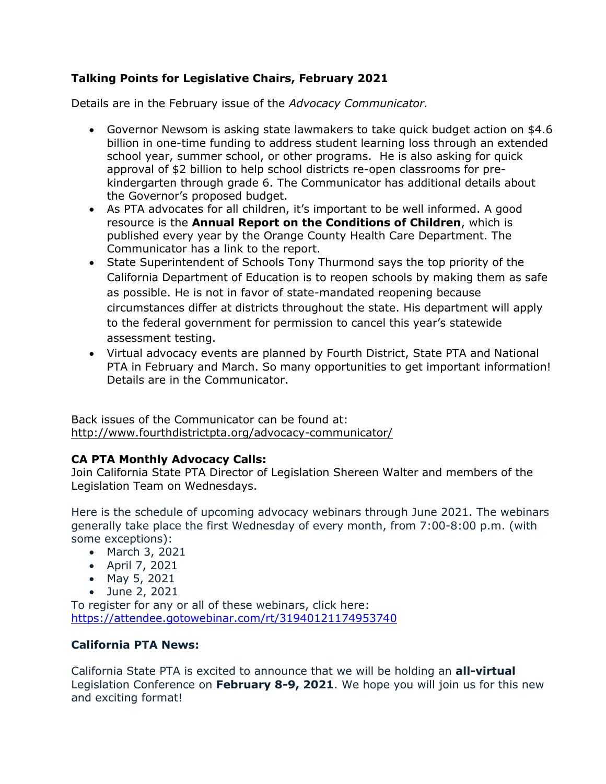## **Talking Points for Legislative Chairs, February 2021**

Details are in the February issue of the *Advocacy Communicator.*

- Governor Newsom is asking state lawmakers to take quick budget action on \$4.6 billion in one-time funding to address student learning loss through an extended school year, summer school, or other programs. He is also asking for quick approval of \$2 billion to help school districts re-open classrooms for prekindergarten through grade 6. The Communicator has additional details about the Governor's proposed budget.
- As PTA advocates for all children, it's important to be well informed. A good resource is the **Annual Report on the Conditions of Children**, which is published every year by the Orange County Health Care Department. The Communicator has a link to the report.
- State Superintendent of Schools Tony Thurmond says the top priority of the California Department of Education is to reopen schools by making them as safe as possible. He is not in favor of state-mandated reopening because circumstances differ at districts throughout the state. His department will apply to the federal government for permission to cancel this year's statewide assessment testing.
- Virtual advocacy events are planned by Fourth District, State PTA and National PTA in February and March. So many opportunities to get important information! Details are in the Communicator.

Back issues of the Communicator can be found at: <http://www.fourthdistrictpta.org/advocacy-communicator/>

## **CA PTA Monthly Advocacy Calls:**

Join California State PTA Director of Legislation Shereen Walter and members of the Legislation Team on Wednesdays.

Here is the schedule of upcoming advocacy webinars through June 2021. The webinars generally take place the first Wednesday of every month, from 7:00-8:00 p.m. (with some exceptions):

- March 3, 2021
- April 7, 2021
- May 5, 2021
- June 2, 2021

To register for any or all of these webinars, click here: [https://attendee.gotowebinar.com/rt/31940121174953740](http://capta.bmetrack.com/c/l?u=AB6FF6E&e=10CEA9F&c=4592C&t=0&l=2971D61A&email=TepeYfBsuqqthho6K9B9EXzBjzlZ2TJR&seq=1)

## **California PTA News:**

California State PTA is excited to announce that we will be holding an **all-virtual** Legislation Conference on **February 8-9, 2021**. We hope you will join us for this new and exciting format!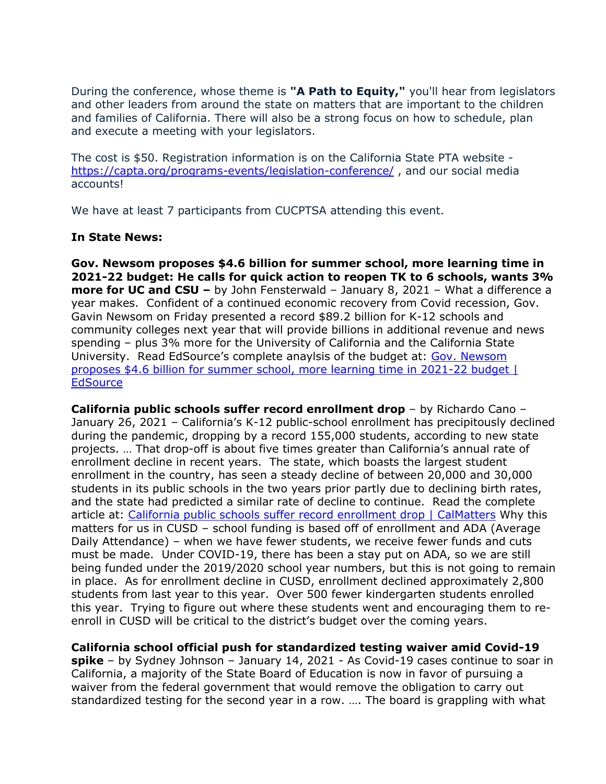During the conference, whose theme is **"A Path to Equity,"** you'll hear from legislators and other leaders from around the state on matters that are important to the children and families of California. There will also be a strong focus on how to schedule, plan and execute a meeting with your legislators.

The cost is \$50. Registration information is on the California State PTA website <https://capta.org/programs-events/legislation-conference/>, and our social media accounts!

We have at least 7 participants from CUCPTSA attending this event.

#### **In State News:**

**Gov. Newsom proposes \$4.6 billion for summer school, more learning time in 2021-22 budget: He calls for quick action to reopen TK to 6 schools, wants 3% more for UC and CSU –** by John Fensterwald – January 8, 2021 – What a difference a year makes. Confident of a continued economic recovery from Covid recession, Gov. Gavin Newsom on Friday presented a record \$89.2 billion for K-12 schools and community colleges next year that will provide billions in additional revenue and news spending – plus 3% more for the University of California and the California State University. Read EdSource's complete anaylsis of the budget at: [Gov. Newsom](https://edsource.org/2021/gov-newsom-proposes-4-6-billion-for-summer-school-more-learning-time-in-2021-22-budget/)  [proposes \\$4.6 billion for summer school, more learning time in 2021-22 budget |](https://edsource.org/2021/gov-newsom-proposes-4-6-billion-for-summer-school-more-learning-time-in-2021-22-budget/)  **[EdSource](https://edsource.org/2021/gov-newsom-proposes-4-6-billion-for-summer-school-more-learning-time-in-2021-22-budget/)** 

**California public schools suffer record enrollment drop** – by Richardo Cano – January 26, 2021 – California's K-12 public-school enrollment has precipitously declined during the pandemic, dropping by a record 155,000 students, according to new state projects. … That drop-off is about five times greater than California's annual rate of enrollment decline in recent years. The state, which boasts the largest student enrollment in the country, has seen a steady decline of between 20,000 and 30,000 students in its public schools in the two years prior partly due to declining birth rates, and the state had predicted a similar rate of decline to continue. Read the complete article at: [California public schools suffer record enrollment drop | CalMatters](https://calmatters.org/education/2021/01/california-schools-record-enrollment-drop/) Why this matters for us in CUSD – school funding is based off of enrollment and ADA (Average Daily Attendance) – when we have fewer students, we receive fewer funds and cuts must be made. Under COVID-19, there has been a stay put on ADA, so we are still being funded under the 2019/2020 school year numbers, but this is not going to remain in place. As for enrollment decline in CUSD, enrollment declined approximately 2,800 students from last year to this year. Over 500 fewer kindergarten students enrolled this year. Trying to figure out where these students went and encouraging them to reenroll in CUSD will be critical to the district's budget over the coming years.

**California school official push for standardized testing waiver amid Covid-19** 

**spike** – by Sydney Johnson – January 14, 2021 - As Covid-19 cases continue to soar in California, a majority of the State Board of Education is now in favor of pursuing a waiver from the federal government that would remove the obligation to carry out standardized testing for the second year in a row. …. The board is grappling with what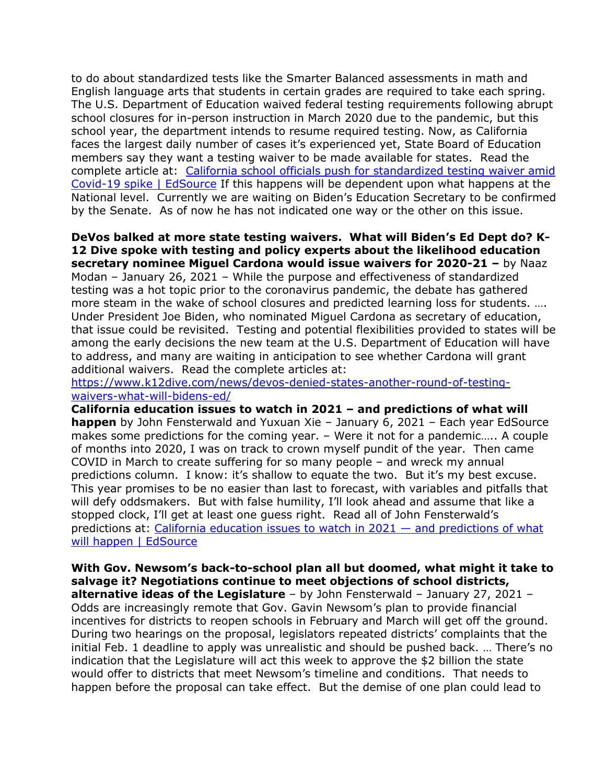to do about standardized tests like the Smarter Balanced assessments in math and English language arts that students in certain grades are required to take each spring. The U.S. Department of Education waived federal testing requirements following abrupt school closures for in-person instruction in March 2020 due to the pandemic, but this school year, the department intends to resume required testing. Now, as California faces the largest daily number of cases it's experienced yet, State Board of Education members say they want a testing waiver to be made available for states. Read the complete article at: [California school officials push for standardized testing waiver amid](https://edsource.org/2021/california-school-officials-push-for-standardized-testing-waiver-amid-covid-19-spike/)  [Covid-19 spike | EdSource](https://edsource.org/2021/california-school-officials-push-for-standardized-testing-waiver-amid-covid-19-spike/) If this happens will be dependent upon what happens at the National level. Currently we are waiting on Biden's Education Secretary to be confirmed by the Senate. As of now he has not indicated one way or the other on this issue.

**DeVos balked at more state testing waivers. What will Biden's Ed Dept do? K-12 Dive spoke with testing and policy experts about the likelihood education secretary nominee Miguel Cardona would issue waivers for 2020-21 –** by Naaz Modan – January 26, 2021 – While the purpose and effectiveness of standardized testing was a hot topic prior to the coronavirus pandemic, the debate has gathered more steam in the wake of school closures and predicted learning loss for students. …. Under President Joe Biden, who nominated Miguel Cardona as secretary of education, that issue could be revisited. Testing and potential flexibilities provided to states will be among the early decisions the new team at the U.S. Department of Education will have to address, and many are waiting in anticipation to see whether Cardona will grant additional waivers. Read the complete articles at:

[https://www.k12dive.com/news/devos-denied-states-another-round-of-testing](https://www.k12dive.com/news/devos-denied-states-another-round-of-testing-waivers-what-will-bidens-ed/)[waivers-what-will-bidens-ed/](https://www.k12dive.com/news/devos-denied-states-another-round-of-testing-waivers-what-will-bidens-ed/)

**California education issues to watch in 2021 – and predictions of what will happen** by John Fensterwald and Yuxuan Xie – January 6, 2021 – Each year EdSource makes some predictions for the coming year. – Were it not for a pandemic….. A couple of months into 2020, I was on track to crown myself pundit of the year. Then came COVID in March to create suffering for so many people – and wreck my annual predictions column. I know: it's shallow to equate the two. But it's my best excuse. This year promises to be no easier than last to forecast, with variables and pitfalls that will defy oddsmakers. But with false humility, I'll look ahead and assume that like a stopped clock, I'll get at least one guess right. Read all of John Fensterwald's predictions at: [California education issues to watch in 2021](https://edsource.org/2021/california-education-issues-to-watch-in-2021-and-predictions-of-what-will-happen/646197) — and predictions of what [will happen | EdSource](https://edsource.org/2021/california-education-issues-to-watch-in-2021-and-predictions-of-what-will-happen/646197)

**With Gov. Newsom's back-to-school plan all but doomed, what might it take to salvage it? Negotiations continue to meet objections of school districts, alternative ideas of the Legislature** – by John Fensterwald – January 27, 2021 – Odds are increasingly remote that Gov. Gavin Newsom's plan to provide financial incentives for districts to reopen schools in February and March will get off the ground. During two hearings on the proposal, legislators repeated districts' complaints that the initial Feb. 1 deadline to apply was unrealistic and should be pushed back. … There's no indication that the Legislature will act this week to approve the \$2 billion the state would offer to districts that meet Newsom's timeline and conditions. That needs to happen before the proposal can take effect. But the demise of one plan could lead to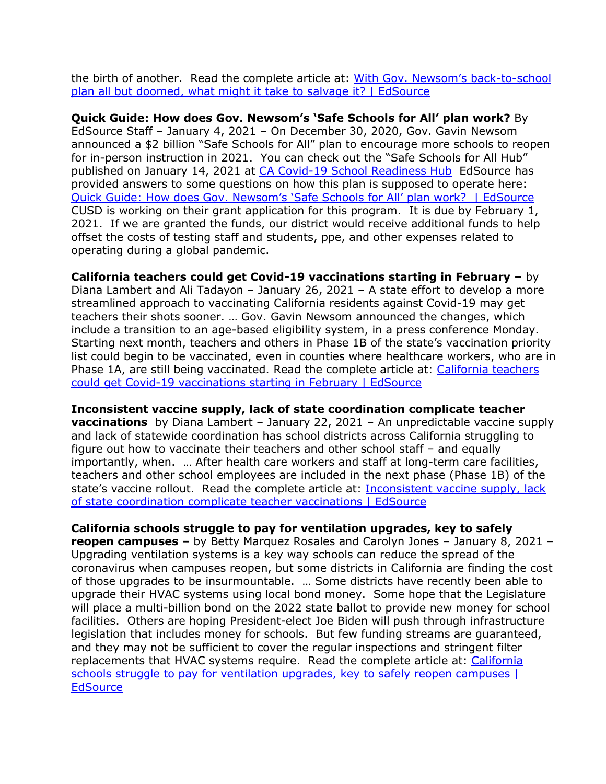the birth of another. Read the complete article at: [With Gov. Newsom's back](https://edsource.org/2021/with-gov-newsoms-back-to-school-plan-all-but-doomed-what-might-it-take-to-salvage-it/)-to-school plan all but [doomed, what might it take to salvage it? | EdSource](https://edsource.org/2021/with-gov-newsoms-back-to-school-plan-all-but-doomed-what-might-it-take-to-salvage-it/)

**Quick Guide: How does Gov. Newsom's 'Safe Schools for All' plan work?** By EdSource Staff – January 4, 2021 – On December 30, 2020, Gov. Gavin Newsom announced a \$2 billion "Safe Schools for All" plan to encourage more schools to reopen for in-person instruction in 2021. You can check out the "Safe Schools for All Hub" published on January 14, 2021 at [CA Covid-19 School Readiness Hub](https://schools.covid19.ca.gov/) EdSource has provided answers to some questions on how this plan is supposed to operate here: [Quick Guide: How does Gov. Newsom's 'Safe Schools for All' plan work?](https://edsource.org/2021/quick-guide-how-does-gov-newsoms-safe-schools-for-all-plan-work/646111) | EdSource CUSD is working on their grant application for this program. It is due by February 1, 2021. If we are granted the funds, our district would receive additional funds to help offset the costs of testing staff and students, ppe, and other expenses related to operating during a global pandemic.

**California teachers could get Covid-19 vaccinations starting in February –** by Diana Lambert and Ali Tadayon – January 26, 2021 – A state effort to develop a more streamlined approach to vaccinating California residents against Covid-19 may get teachers their shots sooner. … Gov. Gavin Newsom announced the changes, which include a transition to an age-based eligibility system, in a press conference Monday. Starting next month, teachers and others in Phase 1B of the state's vaccination priority list could begin to be vaccinated, even in counties where healthcare workers, who are in Phase 1A, are still being vaccinated. Read the complete article at: [California teachers](https://edsource.org/2021/california-teachers-could-get-covid-19-vaccinations-starting-in-february/)  [could get Covid-19 vaccinations starting in February | EdSource](https://edsource.org/2021/california-teachers-could-get-covid-19-vaccinations-starting-in-february/)

**Inconsistent vaccine supply, lack of state coordination complicate teacher vaccinations** by Diana Lambert – January 22, 2021 – An unpredictable vaccine supply and lack of statewide coordination has school districts across California struggling to figure out how to vaccinate their teachers and other school staff – and equally importantly, when. … After health care workers and staff at long-term care facilities, teachers and other school employees are included in the next phase (Phase 1B) of the state's vaccine rollout. Read the complete article at: Inconsistent vaccine supply, lack [of state coordination complicate teacher vaccinations | EdSource](https://edsource.org/2021/inconsistent-vaccine-supply-lack-of-state-coordination-complicate-vaccinating-school-staff/)

**California schools struggle to pay for ventilation upgrades, key to safely reopen campuses –** by Betty Marquez Rosales and Carolyn Jones – January 8, 2021 – Upgrading ventilation systems is a key way schools can reduce the spread of the coronavirus when campuses reopen, but some districts in California are finding the cost of those upgrades to be insurmountable. … Some districts have recently been able to upgrade their HVAC systems using local bond money. Some hope that the Legislature will place a multi-billion bond on the 2022 state ballot to provide new money for school facilities. Others are hoping President-elect Joe Biden will push through infrastructure legislation that includes money for schools. But few funding streams are guaranteed, and they may not be sufficient to cover the regular inspections and stringent filter replacements that HVAC systems require. Read the complete article at: [California](https://edsource.org/2021/california-schools-struggle-to-pay-for-ventilation-upgrades-key-to-safely-reopen-campuses/646445)  [schools struggle to pay for ventilation upgrades, key to safely reopen campuses |](https://edsource.org/2021/california-schools-struggle-to-pay-for-ventilation-upgrades-key-to-safely-reopen-campuses/646445)  **[EdSource](https://edsource.org/2021/california-schools-struggle-to-pay-for-ventilation-upgrades-key-to-safely-reopen-campuses/646445)**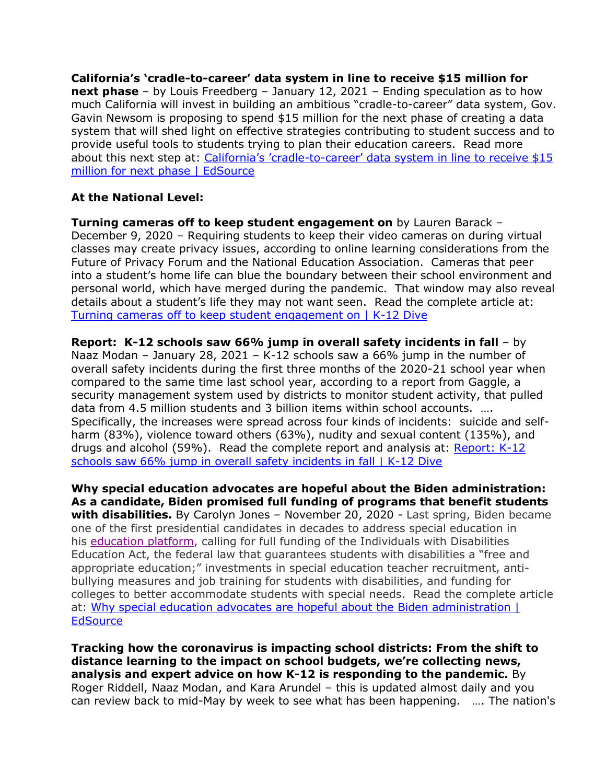**California's 'cradle-to-career' data system in line to receive \$15 million for next phase** – by Louis Freedberg – January 12, 2021 – Ending speculation as to how much California will invest in building an ambitious "cradle-to-career" data system, Gov. Gavin Newsom is proposing to spend \$15 million for the next phase of creating a data system that will shed light on effective strategies contributing to student success and to provide useful tools to students trying to plan their education careers. Read more about this next step at: California's 'cradle-to-[career' data system in line to receive \\$15](https://edsource.org/2021/californias-cradle-to-career-data-system-in-line-to-receive-15-million-for-next-phase/)  [million for next phase | EdSource](https://edsource.org/2021/californias-cradle-to-career-data-system-in-line-to-receive-15-million-for-next-phase/)

#### **At the National Level:**

**Turning cameras off to keep student engagement on** by Lauren Barack – December 9, 2020 – Requiring students to keep their video cameras on during virtual classes may create privacy issues, according to online learning considerations from the Future of Privacy Forum and the National Education Association. Cameras that peer into a student's home life can blue the boundary between their school environment and personal world, which have merged during the pandemic. That window may also reveal details about a student's life they may not want seen. Read the complete article at: [Turning cameras off to keep student engagement on | K-12 Dive](https://www.k12dive.com/news/turning-cameras-off-to-keep-student-engagement-on/)

**Report: K-12 schools saw 66% jump in overall safety incidents in fall** – by Naaz Modan – January 28, 2021 – K-12 schools saw a 66% jump in the number of overall safety incidents during the first three months of the 2020-21 school year when compared to the same time last school year, according to a report from Gaggle, a security management system used by districts to monitor student activity, that pulled data from 4.5 million students and 3 billion items within school accounts. …. Specifically, the increases were spread across four kinds of incidents: suicide and selfharm (83%), violence toward others (63%), nudity and sexual content (135%), and drugs and alcohol (59%). Read the complete report and analysis at: [Report: K-12](https://www.k12dive.com/news/report-k-12-schools-saw-66-jump-in-overall-safety-incidents-in-fall/)  [schools saw 66% jump in overall safety incidents in fall | K-12 Dive](https://www.k12dive.com/news/report-k-12-schools-saw-66-jump-in-overall-safety-incidents-in-fall/)

**Why special education advocates are hopeful about the Biden administration: As a candidate, Biden promised full funding of programs that benefit students with disabilities.** By Carolyn Jones – November 20, 2020 - Last spring, Biden became one of the first presidential candidates in decades to address special education in his [education platform,](https://edsource.org/2020/special-education-would-get-big-boost-under-biden-proposal/634543) calling for full funding of the Individuals with Disabilities Education Act, the federal law that guarantees students with disabilities a "free and appropriate education;" investments in special education teacher recruitment, antibullying measures and job training for students with disabilities, and funding for colleges to better accommodate students with special needs. Read the complete article at: [Why special education advocates are hopeful about the Biden administration |](https://edsource.org/2020/why-special-education-advocates-are-hopeful-about-the-biden-administration/)  **[EdSource](https://edsource.org/2020/why-special-education-advocates-are-hopeful-about-the-biden-administration/)** 

**Tracking how the coronavirus is impacting school districts: From the shift to distance learning to the impact on school budgets, we're collecting news, analysis and expert advice on how K-12 is responding to the pandemic.** By Roger Riddell, Naaz Modan, and Kara Arundel – this is updated almost daily and you can review back to mid-May by week to see what has been happening. …. The nation's